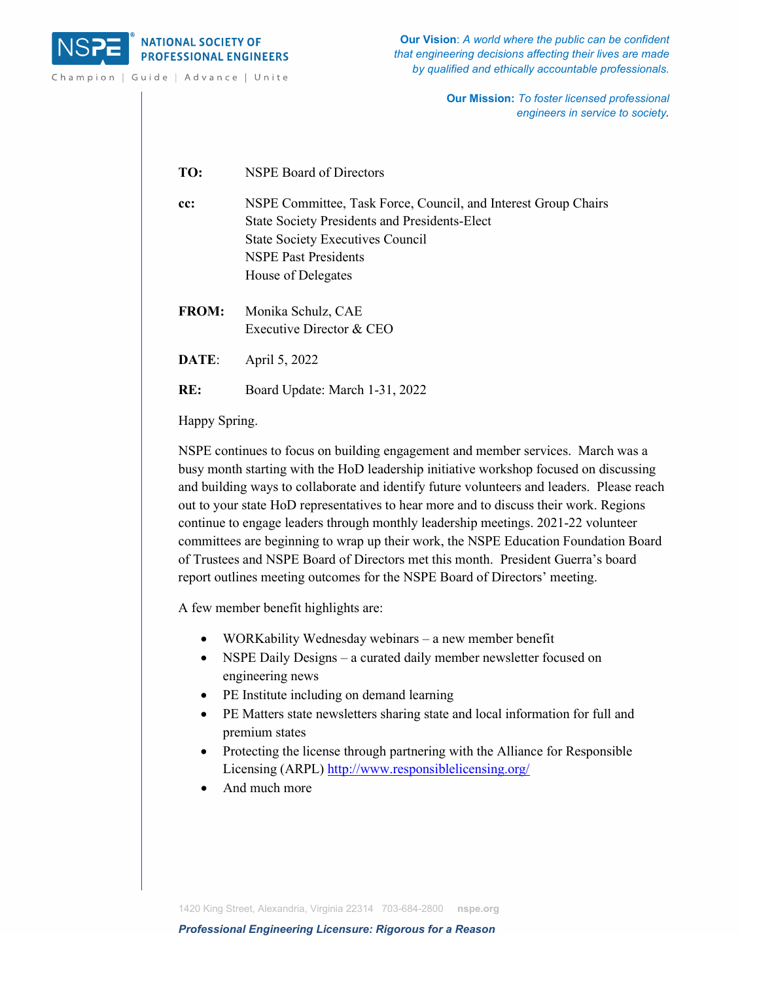

Champion | Guide | Advance | Unite

**Our Vision**: *A world where the public can be confident that engineering decisions affecting their lives are made by qualified and ethically accountable professionals.*

> **Our Mission:** *To foster licensed professional engineers in service to society.*

**TO:** NSPE Board of Directors

**cc:** NSPE Committee, Task Force, Council, and Interest Group Chairs State Society Presidents and Presidents-Elect State Society Executives Council NSPE Past Presidents House of Delegates

**FROM:** Monika Schulz, CAE Executive Director & CEO

**DATE**: April 5, 2022

**RE:** Board Update: March 1-31, 2022

Happy Spring.

NSPE continues to focus on building engagement and member services. March was a busy month starting with the HoD leadership initiative workshop focused on discussing and building ways to collaborate and identify future volunteers and leaders. Please reach out to your state HoD representatives to hear more and to discuss their work. Regions continue to engage leaders through monthly leadership meetings. 2021-22 volunteer committees are beginning to wrap up their work, the NSPE Education Foundation Board of Trustees and NSPE Board of Directors met this month. President Guerra's board report outlines meeting outcomes for the NSPE Board of Directors' meeting.

A few member benefit highlights are:

- WORKability Wednesday webinars a new member benefit
- NSPE Daily Designs a curated daily member newsletter focused on engineering news
- PE Institute including on demand learning
- PE Matters state newsletters sharing state and local information for full and premium states
- Protecting the license through partnering with the Alliance for Responsible Licensing (ARPL) <http://www.responsiblelicensing.org/>
- And much more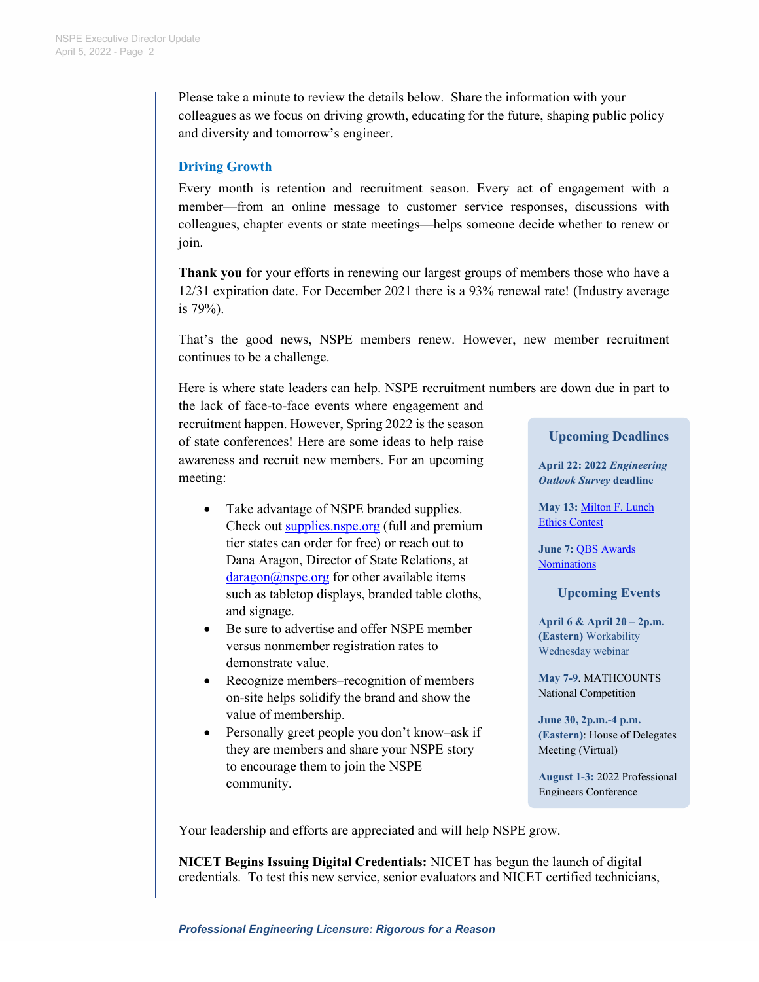Please take a minute to review the details below. Share the information with your colleagues as we focus on driving growth, educating for the future, shaping public policy and diversity and tomorrow's engineer.

# **Driving Growth**

Every month is retention and recruitment season. Every act of engagement with a member—from an online message to customer service responses, discussions with colleagues, chapter events or state meetings—helps someone decide whether to renew or join.

**Thank you** for your efforts in renewing our largest groups of members those who have a 12/31 expiration date. For December 2021 there is a 93% renewal rate! (Industry average is 79%).

That's the good news, NSPE members renew. However, new member recruitment continues to be a challenge.

Here is where state leaders can help. NSPE recruitment numbers are down due in part to

the lack of face-to-face events where engagement and recruitment happen. However, Spring 2022 is the season of state conferences! Here are some ideas to help raise awareness and recruit new members. For an upcoming meeting:

- Take advantage of NSPE branded supplies. Check out [supplies.nspe.org](https://supplies.nspe.org/) (full and premium tier states can order for free) or reach out to Dana Aragon, Director of State Relations, at  $dargon(a)$ nspe.org for other available items such as tabletop displays, branded table cloths, and signage.
- Be sure to advertise and offer NSPE member versus nonmember registration rates to demonstrate value.
- Recognize members–recognition of members on-site helps solidify the brand and show the value of membership.
- Personally greet people you don't know–ask if they are members and share your NSPE story to encourage them to join the NSPE community.

## **Upcoming Deadlines**

**April 22: 2022** *Engineering Outlook Survey* **deadline**

**May 13:** [Milton F. Lunch](https://www.nspe.org/resources/ethics/ethics-resources/milton-f-lunch-ethics-contest)  [Ethics Contest](https://www.nspe.org/resources/ethics/ethics-resources/milton-f-lunch-ethics-contest)

**June 7:** [QBS Awards](https://www.nspe.org/membership/about-nspe/awards/qbs-award)  **[Nominations](https://www.nspe.org/membership/about-nspe/awards/qbs-award)** 

**Upcoming Events**

**April 6 & April 20 – 2p.m. (Eastern)** Workability Wednesday webinar

**May 7-9**. MATHCOUNTS National Competition

**June 30, 2p.m.-4 p.m. (Eastern)**: House of Delegates Meeting (Virtual)

**August 1-3:** 2022 Professional Engineers Conference

Your leadership and efforts are appreciated and will help NSPE grow.

**NICET Begins Issuing Digital Credentials:** NICET has begun the launch of digital credentials. To test this new service, senior evaluators and NICET certified technicians,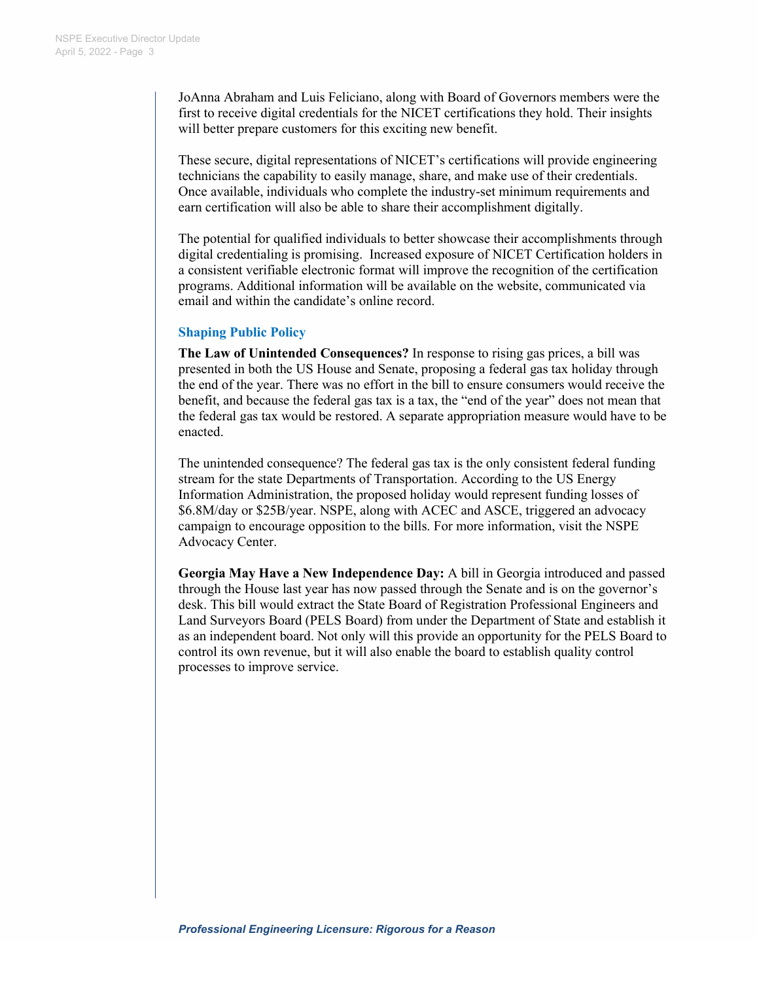JoAnna Abraham and Luis Feliciano, along with Board of Governors members were the first to receive digital credentials for the NICET certifications they hold. Their insights will better prepare customers for this exciting new benefit.

These secure, digital representations of NICET's certifications will provide engineering technicians the capability to easily manage, share, and make use of their credentials. Once available, individuals who complete the industry-set minimum requirements and earn certification will also be able to share their accomplishment digitally.

The potential for qualified individuals to better showcase their accomplishments through digital credentialing is promising. Increased exposure of NICET Certification holders in a consistent verifiable electronic format will improve the recognition of the certification programs. Additional information will be available on the website, communicated via email and within the candidate's online record.

## **Shaping Public Policy**

**The Law of Unintended Consequences?** In response to rising gas prices, a bill was presented in both the US House and Senate, proposing a federal gas tax holiday through the end of the year. There was no effort in the bill to ensure consumers would receive the benefit, and because the federal gas tax is a tax, the "end of the year" does not mean that the federal gas tax would be restored. A separate appropriation measure would have to be enacted.

The unintended consequence? The federal gas tax is the only consistent federal funding stream for the state Departments of Transportation. According to the US Energy Information Administration, the proposed holiday would represent funding losses of \$6.8M/day or \$25B/year. NSPE, along with ACEC and ASCE, triggered an advocacy campaign to encourage opposition to the bills. For more information, visit the NSPE Advocacy Center.

**Georgia May Have a New Independence Day:** A bill in Georgia introduced and passed through the House last year has now passed through the Senate and is on the governor's desk. This bill would extract the State Board of Registration Professional Engineers and Land Surveyors Board (PELS Board) from under the Department of State and establish it as an independent board. Not only will this provide an opportunity for the PELS Board to control its own revenue, but it will also enable the board to establish quality control processes to improve service.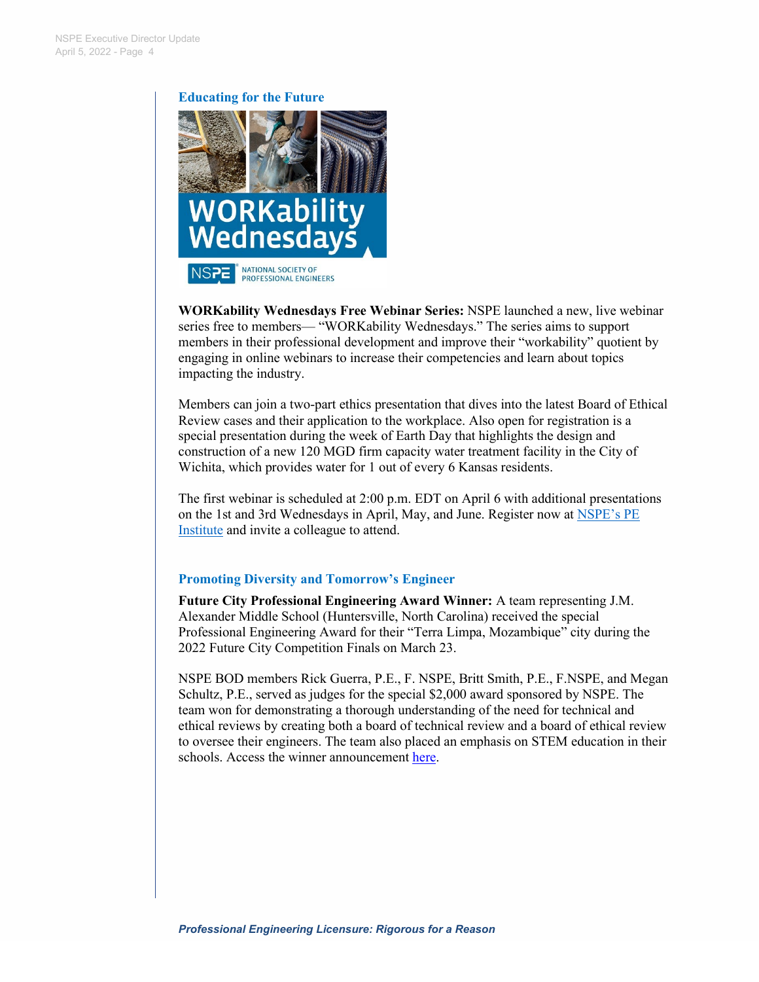### **Educating for the Future**



**WORKability Wednesdays Free Webinar Series:** NSPE launched a new, live webinar series free to members— "WORKability Wednesdays." The series aims to support members in their professional development and improve their "workability" quotient by engaging in online webinars to increase their competencies and learn about topics impacting the industry.

Members can join a two-part ethics presentation that dives into the latest Board of Ethical Review cases and their application to the workplace. Also open for registration is a special presentation during the week of Earth Day that highlights the design and construction of a new 120 MGD firm capacity water treatment facility in the City of Wichita, which provides water for 1 out of every 6 Kansas residents.

The first webinar is scheduled at 2:00 p.m. EDT on April 6 with additional presentations on the 1st and 3rd Wednesdays in April, May, and June. Register now at NSPE's PE [Institute](https://pdh.nspe.org/) and invite a colleague to attend.

## **Promoting Diversity and Tomorrow's Engineer**

**Future City Professional Engineering Award Winner:** A team representing J.M. Alexander Middle School (Huntersville, North Carolina) received the special Professional Engineering Award for their "Terra Limpa, Mozambique" city during the 2022 Future City Competition Finals on March 23.

NSPE BOD members Rick Guerra, P.E., F. NSPE, Britt Smith, P.E., F.NSPE, and Megan Schultz, P.E., served as judges for the special \$2,000 award sponsored by NSPE. The team won for demonstrating a thorough understanding of the need for technical and ethical reviews by creating both a board of technical review and a board of ethical review to oversee their engineers. The team also placed an emphasis on STEM education in their schools. Access the winner announcement [here.](https://www.youtube.com/watch?v=P9o5Cu-ka1U)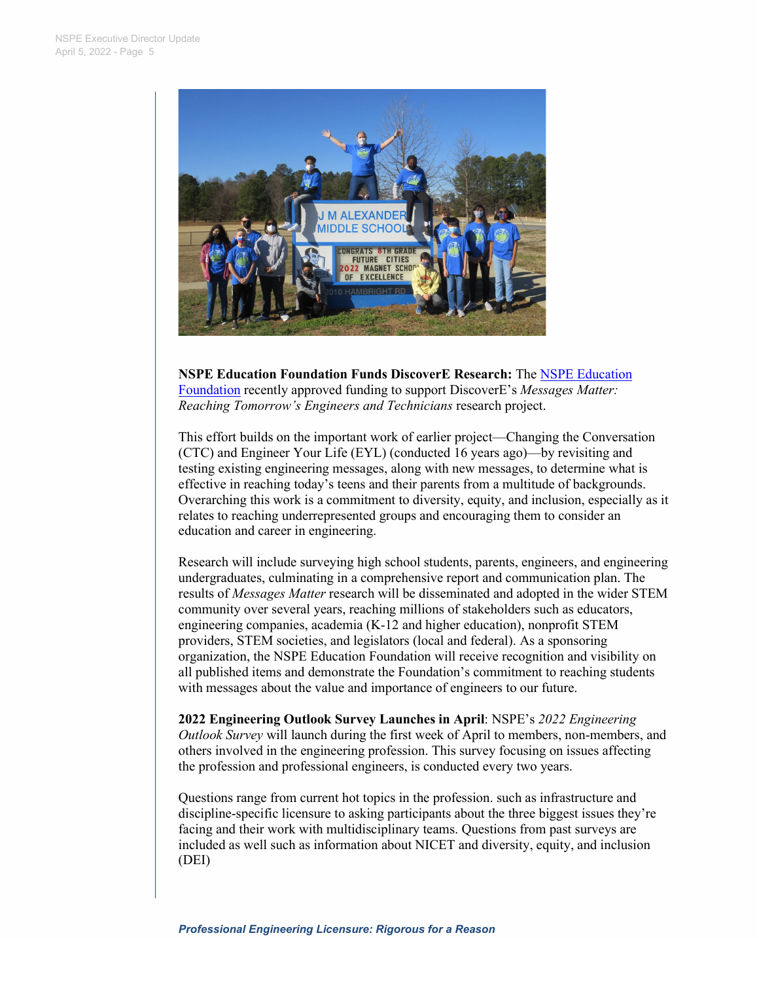

**NSPE Education Foundation Funds DiscoverE Research:** The [NSPE Education](https://www.nspe.org/resources/education-foundation)  [Foundation](https://www.nspe.org/resources/education-foundation) recently approved funding to support DiscoverE's *Messages Matter: Reaching Tomorrow's Engineers and Technicians* research project.

This effort builds on the important work of earlier project—Changing the Conversation (CTC) and Engineer Your Life (EYL) (conducted 16 years ago)—by revisiting and testing existing engineering messages, along with new messages, to determine what is effective in reaching today's teens and their parents from a multitude of backgrounds. Overarching this work is a commitment to diversity, equity, and inclusion, especially as it relates to reaching underrepresented groups and encouraging them to consider an education and career in engineering.

Research will include surveying high school students, parents, engineers, and engineering undergraduates, culminating in a comprehensive report and communication plan. The results of *Messages Matter* research will be disseminated and adopted in the wider STEM community over several years, reaching millions of stakeholders such as educators, engineering companies, academia (K-12 and higher education), nonprofit STEM providers, STEM societies, and legislators (local and federal). As a sponsoring organization, the NSPE Education Foundation will receive recognition and visibility on all published items and demonstrate the Foundation's commitment to reaching students with messages about the value and importance of engineers to our future.

**2022 Engineering Outlook Survey Launches in April**: NSPE's *2022 Engineering Outlook Survey* will launch during the first week of April to members, non-members, and others involved in the engineering profession. This survey focusing on issues affecting the profession and professional engineers, is conducted every two years.

Questions range from current hot topics in the profession. such as infrastructure and discipline-specific licensure to asking participants about the three biggest issues they're facing and their work with multidisciplinary teams. Questions from past surveys are included as well such as information about NICET and diversity, equity, and inclusion (DEI)